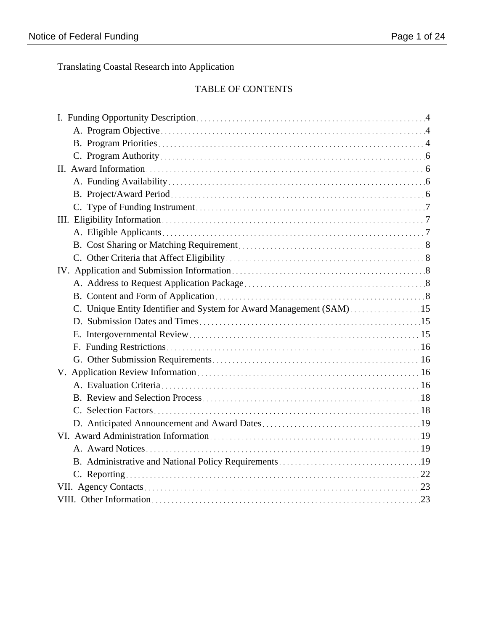Translating Coastal Research into Application

## TABLE OF CONTENTS

| C. Unique Entity Identifier and System for Award Management (SAM)15 |  |
|---------------------------------------------------------------------|--|
|                                                                     |  |
|                                                                     |  |
|                                                                     |  |
|                                                                     |  |
|                                                                     |  |
|                                                                     |  |
|                                                                     |  |
|                                                                     |  |
|                                                                     |  |
|                                                                     |  |
|                                                                     |  |
|                                                                     |  |
|                                                                     |  |
|                                                                     |  |
|                                                                     |  |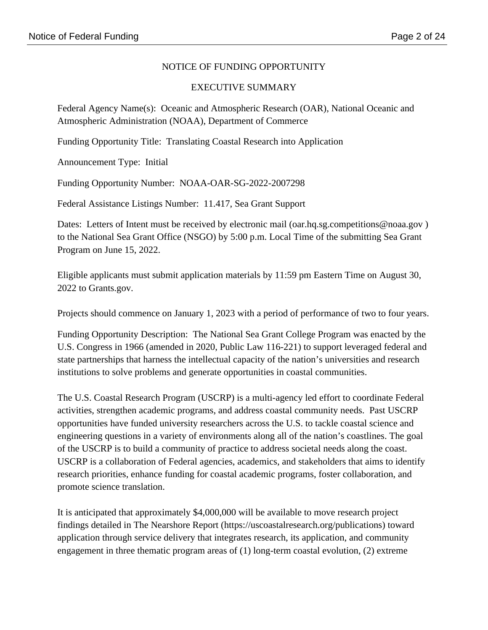## NOTICE OF FUNDING OPPORTUNITY

## EXECUTIVE SUMMARY

Federal Agency Name(s): Oceanic and Atmospheric Research (OAR), National Oceanic and Atmospheric Administration (NOAA), Department of Commerce

Funding Opportunity Title: Translating Coastal Research into Application

Announcement Type: Initial

Funding Opportunity Number: NOAA-OAR-SG-2022-2007298

Federal Assistance Listings Number: 11.417, Sea Grant Support

Dates: Letters of Intent must be received by electronic mail (oar.hq.sg.competitions@noaa.gov) to the National Sea Grant Office (NSGO) by 5:00 p.m. Local Time of the submitting Sea Grant Program on June 15, 2022.

Eligible applicants must submit application materials by 11:59 pm Eastern Time on August 30, 2022 to Grants.gov.

Projects should commence on January 1, 2023 with a period of performance of two to four years.

Funding Opportunity Description: The National Sea Grant College Program was enacted by the U.S. Congress in 1966 (amended in 2020, Public Law 116-221) to support leveraged federal and state partnerships that harness the intellectual capacity of the nation's universities and research institutions to solve problems and generate opportunities in coastal communities.

The U.S. Coastal Research Program (USCRP) is a multi-agency led effort to coordinate Federal activities, strengthen academic programs, and address coastal community needs. Past USCRP opportunities have funded university researchers across the U.S. to tackle coastal science and engineering questions in a variety of environments along all of the nation's coastlines. The goal of the USCRP is to build a community of practice to address societal needs along the coast. USCRP is a collaboration of Federal agencies, academics, and stakeholders that aims to identify research priorities, enhance funding for coastal academic programs, foster collaboration, and promote science translation.

It is anticipated that approximately \$4,000,000 will be available to move research project findings detailed in The Nearshore Report (https://uscoastalresearch.org/publications) toward application through service delivery that integrates research, its application, and community engagement in three thematic program areas of (1) long-term coastal evolution, (2) extreme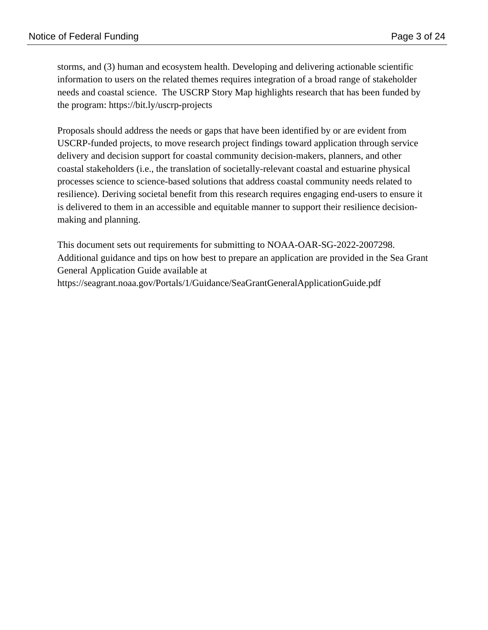storms, and (3) human and ecosystem health. Developing and delivering actionable scientific information to users on the related themes requires integration of a broad range of stakeholder needs and coastal science. The USCRP Story Map highlights research that has been funded by the program: https://bit.ly/uscrp-projects

Proposals should address the needs or gaps that have been identified by or are evident from USCRP-funded projects, to move research project findings toward application through service delivery and decision support for coastal community decision-makers, planners, and other coastal stakeholders (i.e., the translation of societally-relevant coastal and estuarine physical processes science to science-based solutions that address coastal community needs related to resilience). Deriving societal benefit from this research requires engaging end-users to ensure it is delivered to them in an accessible and equitable manner to support their resilience decisionmaking and planning.

This document sets out requirements for submitting to NOAA-OAR-SG-2022-2007298. Additional guidance and tips on how best to prepare an application are provided in the Sea Grant General Application Guide available at https://seagrant.noaa.gov/Portals/1/Guidance/SeaGrantGeneralApplicationGuide.pdf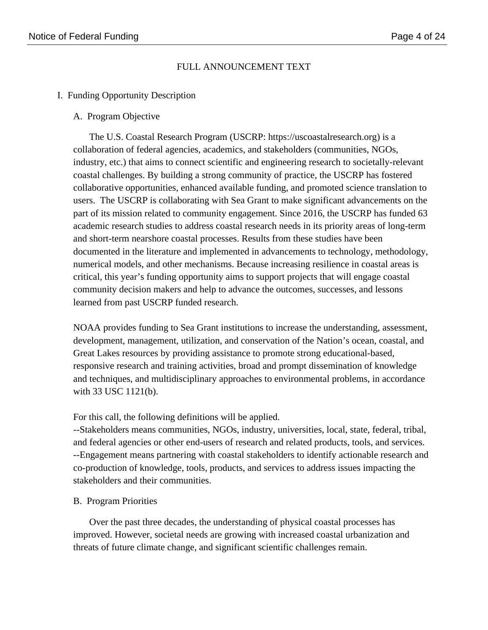## FULL ANNOUNCEMENT TEXT

## I. Funding Opportunity Description

#### A. Program Objective

The U.S. Coastal Research Program (USCRP: https://uscoastalresearch.org) is a collaboration of federal agencies, academics, and stakeholders (communities, NGOs, industry, etc.) that aims to connect scientific and engineering research to societally-relevant coastal challenges. By building a strong community of practice, the USCRP has fostered collaborative opportunities, enhanced available funding, and promoted science translation to users. The USCRP is collaborating with Sea Grant to make significant advancements on the part of its mission related to community engagement. Since 2016, the USCRP has funded 63 academic research studies to address coastal research needs in its priority areas of long-term and short-term nearshore coastal processes. Results from these studies have been documented in the literature and implemented in advancements to technology, methodology, numerical models, and other mechanisms. Because increasing resilience in coastal areas is critical, this year's funding opportunity aims to support projects that will engage coastal community decision makers and help to advance the outcomes, successes, and lessons learned from past USCRP funded research.

NOAA provides funding to Sea Grant institutions to increase the understanding, assessment, development, management, utilization, and conservation of the Nation's ocean, coastal, and Great Lakes resources by providing assistance to promote strong educational-based, responsive research and training activities, broad and prompt dissemination of knowledge and techniques, and multidisciplinary approaches to environmental problems, in accordance with 33 USC 1121(b).

## For this call, the following definitions will be applied.

--Stakeholders means communities, NGOs, industry, universities, local, state, federal, tribal, and federal agencies or other end-users of research and related products, tools, and services. --Engagement means partnering with coastal stakeholders to identify actionable research and co-production of knowledge, tools, products, and services to address issues impacting the stakeholders and their communities.

## B. Program Priorities

Over the past three decades, the understanding of physical coastal processes has improved. However, societal needs are growing with increased coastal urbanization and threats of future climate change, and significant scientific challenges remain.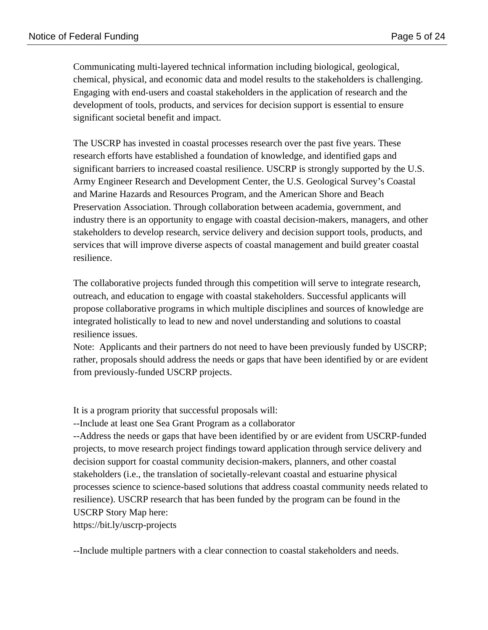Communicating multi-layered technical information including biological, geological, chemical, physical, and economic data and model results to the stakeholders is challenging. Engaging with end-users and coastal stakeholders in the application of research and the development of tools, products, and services for decision support is essential to ensure significant societal benefit and impact.

The USCRP has invested in coastal processes research over the past five years. These research efforts have established a foundation of knowledge, and identified gaps and significant barriers to increased coastal resilience. USCRP is strongly supported by the U.S. Army Engineer Research and Development Center, the U.S. Geological Survey's Coastal and Marine Hazards and Resources Program, and the American Shore and Beach Preservation Association. Through collaboration between academia, government, and industry there is an opportunity to engage with coastal decision-makers, managers, and other stakeholders to develop research, service delivery and decision support tools, products, and services that will improve diverse aspects of coastal management and build greater coastal resilience.

The collaborative projects funded through this competition will serve to integrate research, outreach, and education to engage with coastal stakeholders. Successful applicants will propose collaborative programs in which multiple disciplines and sources of knowledge are integrated holistically to lead to new and novel understanding and solutions to coastal resilience issues.

Note: Applicants and their partners do not need to have been previously funded by USCRP; rather, proposals should address the needs or gaps that have been identified by or are evident from previously-funded USCRP projects.

It is a program priority that successful proposals will:

--Include at least one Sea Grant Program as a collaborator

--Address the needs or gaps that have been identified by or are evident from USCRP-funded projects, to move research project findings toward application through service delivery and decision support for coastal community decision-makers, planners, and other coastal stakeholders (i.e., the translation of societally-relevant coastal and estuarine physical processes science to science-based solutions that address coastal community needs related to resilience). USCRP research that has been funded by the program can be found in the USCRP Story Map here:

https://bit.ly/uscrp-projects

--Include multiple partners with a clear connection to coastal stakeholders and needs.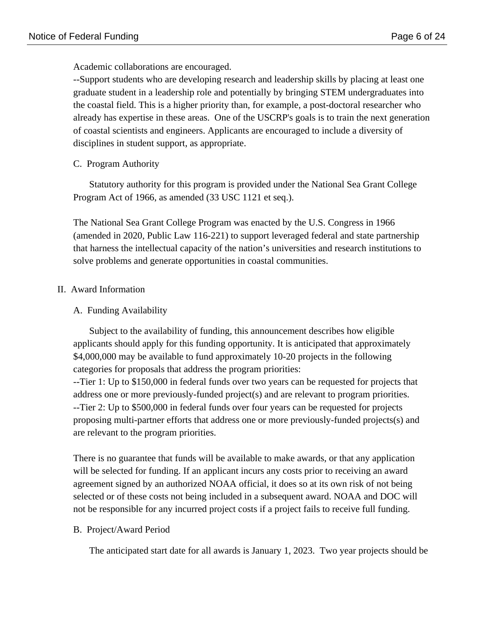Academic collaborations are encouraged.

--Support students who are developing research and leadership skills by placing at least one graduate student in a leadership role and potentially by bringing STEM undergraduates into the coastal field. This is a higher priority than, for example, a post-doctoral researcher who already has expertise in these areas. One of the USCRP's goals is to train the next generation of coastal scientists and engineers. Applicants are encouraged to include a diversity of disciplines in student support, as appropriate.

C. Program Authority

Statutory authority for this program is provided under the National Sea Grant College Program Act of 1966, as amended (33 USC 1121 et seq.).

The National Sea Grant College Program was enacted by the U.S. Congress in 1966 (amended in 2020, Public Law 116-221) to support leveraged federal and state partnership that harness the intellectual capacity of the nation's universities and research institutions to solve problems and generate opportunities in coastal communities.

## II. Award Information

A. Funding Availability

Subject to the availability of funding, this announcement describes how eligible applicants should apply for this funding opportunity. It is anticipated that approximately \$4,000,000 may be available to fund approximately 10-20 projects in the following categories for proposals that address the program priorities:

--Tier 1: Up to \$150,000 in federal funds over two years can be requested for projects that address one or more previously-funded project(s) and are relevant to program priorities. --Tier 2: Up to \$500,000 in federal funds over four years can be requested for projects proposing multi-partner efforts that address one or more previously-funded projects(s) and are relevant to the program priorities.

There is no guarantee that funds will be available to make awards, or that any application will be selected for funding. If an applicant incurs any costs prior to receiving an award agreement signed by an authorized NOAA official, it does so at its own risk of not being selected or of these costs not being included in a subsequent award. NOAA and DOC will not be responsible for any incurred project costs if a project fails to receive full funding.

## B. Project/Award Period

The anticipated start date for all awards is January 1, 2023. Two year projects should be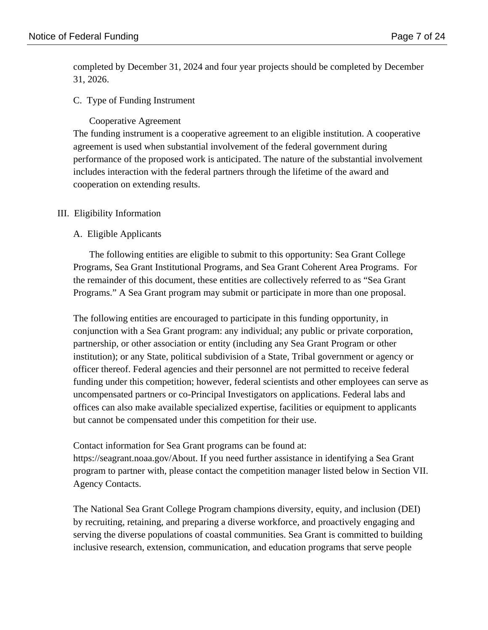completed by December 31, 2024 and four year projects should be completed by December 31, 2026.

#### C. Type of Funding Instrument

Cooperative Agreement

The funding instrument is a cooperative agreement to an eligible institution. A cooperative agreement is used when substantial involvement of the federal government during performance of the proposed work is anticipated. The nature of the substantial involvement includes interaction with the federal partners through the lifetime of the award and cooperation on extending results.

#### III. Eligibility Information

#### A. Eligible Applicants

The following entities are eligible to submit to this opportunity: Sea Grant College Programs, Sea Grant Institutional Programs, and Sea Grant Coherent Area Programs. For the remainder of this document, these entities are collectively referred to as "Sea Grant Programs." A Sea Grant program may submit or participate in more than one proposal.

The following entities are encouraged to participate in this funding opportunity, in conjunction with a Sea Grant program: any individual; any public or private corporation, partnership, or other association or entity (including any Sea Grant Program or other institution); or any State, political subdivision of a State, Tribal government or agency or officer thereof. Federal agencies and their personnel are not permitted to receive federal funding under this competition; however, federal scientists and other employees can serve as uncompensated partners or co-Principal Investigators on applications. Federal labs and offices can also make available specialized expertise, facilities or equipment to applicants but cannot be compensated under this competition for their use.

Contact information for Sea Grant programs can be found at:

https://seagrant.noaa.gov/About. If you need further assistance in identifying a Sea Grant program to partner with, please contact the competition manager listed below in Section VII. Agency Contacts.

The National Sea Grant College Program champions diversity, equity, and inclusion (DEI) by recruiting, retaining, and preparing a diverse workforce, and proactively engaging and serving the diverse populations of coastal communities. Sea Grant is committed to building inclusive research, extension, communication, and education programs that serve people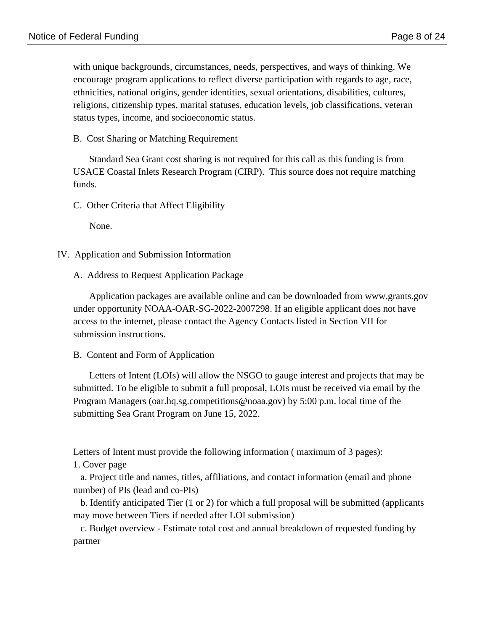with unique backgrounds, circumstances, needs, perspectives, and ways of thinking. We encourage program applications to reflect diverse participation with regards to age, race, ethnicities, national origins, gender identities, sexual orientations, disabilities, cultures, religions, citizenship types, marital statuses, education levels, job classifications, veteran status types, income, and socioeconomic status.

B. Cost Sharing or Matching Requirement

Standard Sea Grant cost sharing is not required for this call as this funding is from USACE Coastal Inlets Research Program (CIRP). This source does not require matching funds.

C. Other Criteria that Affect Eligibility

None.

- IV. Application and Submission Information
	- A. Address to Request Application Package

Application packages are available online and can be downloaded from www.grants.gov under opportunity NOAA-OAR-SG-2022-2007298. If an eligible applicant does not have access to the internet, please contact the Agency Contacts listed in Section VII for submission instructions.

B. Content and Form of Application

Letters of Intent (LOIs) will allow the NSGO to gauge interest and projects that may be submitted. To be eligible to submit a full proposal, LOIs must be received via email by the Program Managers (oar.hq.sg.competitions@noaa.gov) by 5:00 p.m. local time of the submitting Sea Grant Program on June 15, 2022.

Letters of Intent must provide the following information ( maximum of 3 pages):

1. Cover page

 a. Project title and names, titles, affiliations, and contact information (email and phone number) of PIs (lead and co-PIs)

 b. Identify anticipated Tier (1 or 2) for which a full proposal will be submitted (applicants may move between Tiers if needed after LOI submission)

 c. Budget overview - Estimate total cost and annual breakdown of requested funding by partner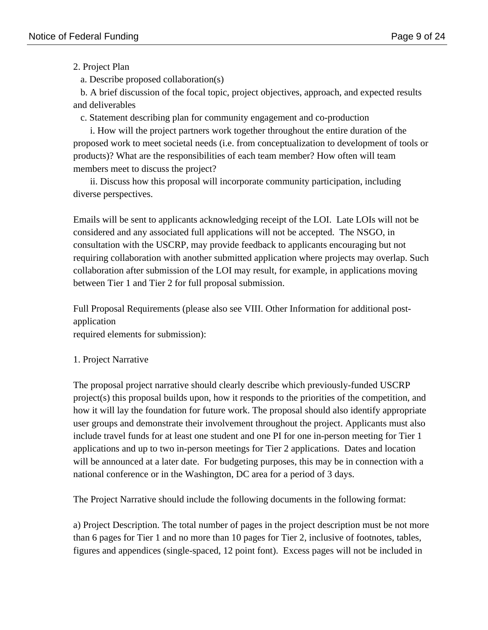## 2. Project Plan

a. Describe proposed collaboration(s)

 b. A brief discussion of the focal topic, project objectives, approach, and expected results and deliverables

c. Statement describing plan for community engagement and co-production

 i. How will the project partners work together throughout the entire duration of the proposed work to meet societal needs (i.e. from conceptualization to development of tools or products)? What are the responsibilities of each team member? How often will team members meet to discuss the project?

 ii. Discuss how this proposal will incorporate community participation, including diverse perspectives.

Emails will be sent to applicants acknowledging receipt of the LOI. Late LOIs will not be considered and any associated full applications will not be accepted. The NSGO, in consultation with the USCRP, may provide feedback to applicants encouraging but not requiring collaboration with another submitted application where projects may overlap. Such collaboration after submission of the LOI may result, for example, in applications moving between Tier 1 and Tier 2 for full proposal submission.

Full Proposal Requirements (please also see VIII. Other Information for additional postapplication required elements for submission):

# 1. Project Narrative

The proposal project narrative should clearly describe which previously-funded USCRP project(s) this proposal builds upon, how it responds to the priorities of the competition, and how it will lay the foundation for future work. The proposal should also identify appropriate user groups and demonstrate their involvement throughout the project. Applicants must also include travel funds for at least one student and one PI for one in-person meeting for Tier 1 applications and up to two in-person meetings for Tier 2 applications. Dates and location will be announced at a later date. For budgeting purposes, this may be in connection with a national conference or in the Washington, DC area for a period of 3 days.

The Project Narrative should include the following documents in the following format:

a) Project Description. The total number of pages in the project description must be not more than 6 pages for Tier 1 and no more than 10 pages for Tier 2, inclusive of footnotes, tables, figures and appendices (single-spaced, 12 point font). Excess pages will not be included in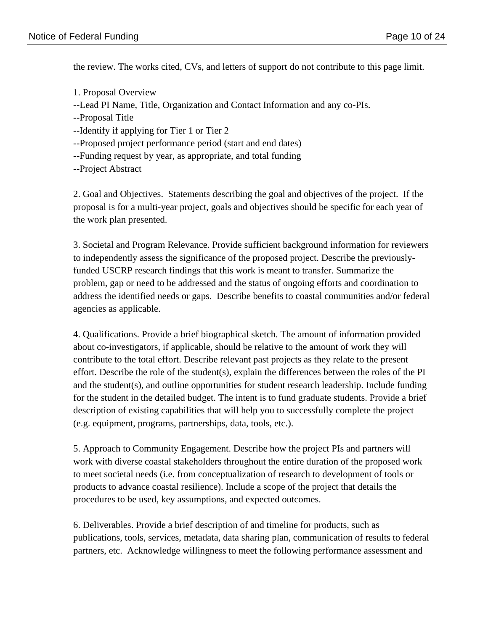the review. The works cited, CVs, and letters of support do not contribute to this page limit.

- 1. Proposal Overview
- --Lead PI Name, Title, Organization and Contact Information and any co-PIs.
- --Proposal Title
- --Identify if applying for Tier 1 or Tier 2
- --Proposed project performance period (start and end dates)
- --Funding request by year, as appropriate, and total funding
- --Project Abstract

2. Goal and Objectives. Statements describing the goal and objectives of the project. If the proposal is for a multi-year project, goals and objectives should be specific for each year of the work plan presented.

3. Societal and Program Relevance. Provide sufficient background information for reviewers to independently assess the significance of the proposed project. Describe the previouslyfunded USCRP research findings that this work is meant to transfer. Summarize the problem, gap or need to be addressed and the status of ongoing efforts and coordination to address the identified needs or gaps. Describe benefits to coastal communities and/or federal agencies as applicable.

4. Qualifications. Provide a brief biographical sketch. The amount of information provided about co-investigators, if applicable, should be relative to the amount of work they will contribute to the total effort. Describe relevant past projects as they relate to the present effort. Describe the role of the student(s), explain the differences between the roles of the PI and the student(s), and outline opportunities for student research leadership. Include funding for the student in the detailed budget. The intent is to fund graduate students. Provide a brief description of existing capabilities that will help you to successfully complete the project (e.g. equipment, programs, partnerships, data, tools, etc.).

5. Approach to Community Engagement. Describe how the project PIs and partners will work with diverse coastal stakeholders throughout the entire duration of the proposed work to meet societal needs (i.e. from conceptualization of research to development of tools or products to advance coastal resilience). Include a scope of the project that details the procedures to be used, key assumptions, and expected outcomes.

6. Deliverables. Provide a brief description of and timeline for products, such as publications, tools, services, metadata, data sharing plan, communication of results to federal partners, etc. Acknowledge willingness to meet the following performance assessment and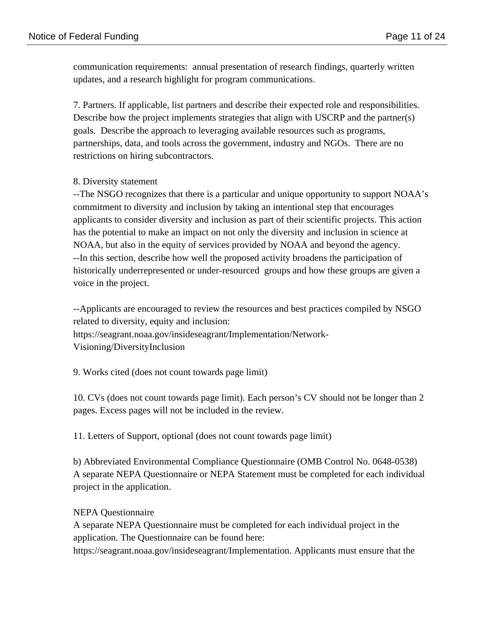communication requirements: annual presentation of research findings, quarterly written updates, and a research highlight for program communications.

7. Partners. If applicable, list partners and describe their expected role and responsibilities. Describe how the project implements strategies that align with USCRP and the partner(s) goals. Describe the approach to leveraging available resources such as programs, partnerships, data, and tools across the government, industry and NGOs. There are no restrictions on hiring subcontractors.

## 8. Diversity statement

--The NSGO recognizes that there is a particular and unique opportunity to support NOAA's commitment to diversity and inclusion by taking an intentional step that encourages applicants to consider diversity and inclusion as part of their scientific projects. This action has the potential to make an impact on not only the diversity and inclusion in science at NOAA, but also in the equity of services provided by NOAA and beyond the agency. --In this section, describe how well the proposed activity broadens the participation of historically underrepresented or under-resourced groups and how these groups are given a voice in the project.

--Applicants are encouraged to review the resources and best practices compiled by NSGO related to diversity, equity and inclusion: https://seagrant.noaa.gov/insideseagrant/Implementation/Network-

Visioning/DiversityInclusion

9. Works cited (does not count towards page limit)

10. CVs (does not count towards page limit). Each person's CV should not be longer than 2 pages. Excess pages will not be included in the review.

11. Letters of Support, optional (does not count towards page limit)

b) Abbreviated Environmental Compliance Questionnaire (OMB Control No. 0648-0538) A separate NEPA Questionnaire or NEPA Statement must be completed for each individual project in the application.

## NEPA Questionnaire

A separate NEPA Questionnaire must be completed for each individual project in the application. The Questionnaire can be found here:

https://seagrant.noaa.gov/insideseagrant/Implementation. Applicants must ensure that the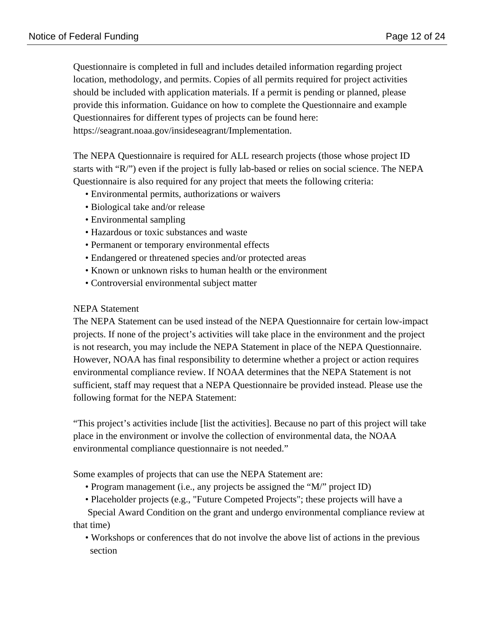Questionnaire is completed in full and includes detailed information regarding project location, methodology, and permits. Copies of all permits required for project activities should be included with application materials. If a permit is pending or planned, please provide this information. Guidance on how to complete the Questionnaire and example Questionnaires for different types of projects can be found here: https://seagrant.noaa.gov/insideseagrant/Implementation.

The NEPA Questionnaire is required for ALL research projects (those whose project ID starts with "R/") even if the project is fully lab-based or relies on social science. The NEPA Questionnaire is also required for any project that meets the following criteria:

- Environmental permits, authorizations or waivers
- Biological take and/or release
- Environmental sampling
- Hazardous or toxic substances and waste
- Permanent or temporary environmental effects
- Endangered or threatened species and/or protected areas
- Known or unknown risks to human health or the environment
- Controversial environmental subject matter

#### NEPA Statement

The NEPA Statement can be used instead of the NEPA Questionnaire for certain low-impact projects. If none of the project's activities will take place in the environment and the project is not research, you may include the NEPA Statement in place of the NEPA Questionnaire. However, NOAA has final responsibility to determine whether a project or action requires environmental compliance review. If NOAA determines that the NEPA Statement is not sufficient, staff may request that a NEPA Questionnaire be provided instead. Please use the following format for the NEPA Statement:

"This project's activities include [list the activities]. Because no part of this project will take place in the environment or involve the collection of environmental data, the NOAA environmental compliance questionnaire is not needed."

Some examples of projects that can use the NEPA Statement are:

- Program management (i.e., any projects be assigned the "M/" project ID)
- Placeholder projects (e.g., "Future Competed Projects"; these projects will have a

 Special Award Condition on the grant and undergo environmental compliance review at that time)

 • Workshops or conferences that do not involve the above list of actions in the previous section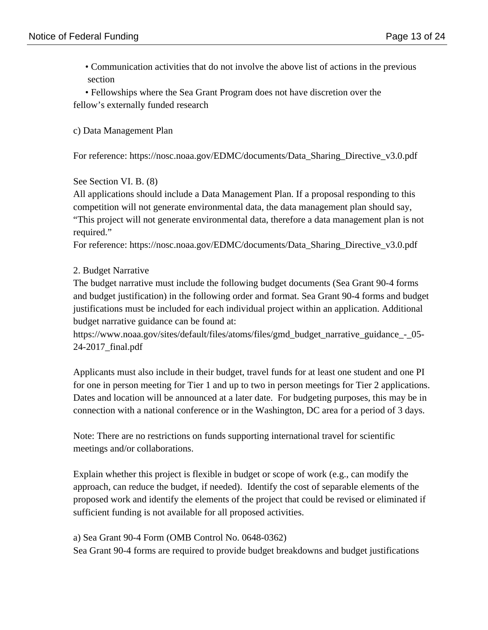• Communication activities that do not involve the above list of actions in the previous section

 • Fellowships where the Sea Grant Program does not have discretion over the fellow's externally funded research

## c) Data Management Plan

For reference: https://nosc.noaa.gov/EDMC/documents/Data\_Sharing\_Directive\_v3.0.pdf

## See Section VI. B. (8)

All applications should include a Data Management Plan. If a proposal responding to this competition will not generate environmental data, the data management plan should say, "This project will not generate environmental data, therefore a data management plan is not required."

For reference: https://nosc.noaa.gov/EDMC/documents/Data\_Sharing\_Directive\_v3.0.pdf

## 2. Budget Narrative

The budget narrative must include the following budget documents (Sea Grant 90-4 forms and budget justification) in the following order and format. Sea Grant 90-4 forms and budget justifications must be included for each individual project within an application. Additional budget narrative guidance can be found at:

https://www.noaa.gov/sites/default/files/atoms/files/gmd\_budget\_narrative\_guidance\_-\_05- 24-2017\_final.pdf

Applicants must also include in their budget, travel funds for at least one student and one PI for one in person meeting for Tier 1 and up to two in person meetings for Tier 2 applications. Dates and location will be announced at a later date. For budgeting purposes, this may be in connection with a national conference or in the Washington, DC area for a period of 3 days.

Note: There are no restrictions on funds supporting international travel for scientific meetings and/or collaborations.

Explain whether this project is flexible in budget or scope of work (e.g., can modify the approach, can reduce the budget, if needed). Identify the cost of separable elements of the proposed work and identify the elements of the project that could be revised or eliminated if sufficient funding is not available for all proposed activities.

a) Sea Grant 90-4 Form (OMB Control No. 0648-0362)

Sea Grant 90-4 forms are required to provide budget breakdowns and budget justifications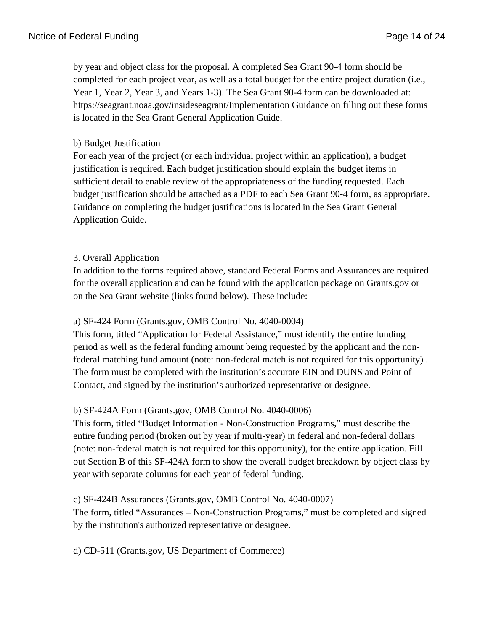by year and object class for the proposal. A completed Sea Grant 90-4 form should be completed for each project year, as well as a total budget for the entire project duration (i.e., Year 1, Year 2, Year 3, and Years 1-3). The Sea Grant 90-4 form can be downloaded at: https://seagrant.noaa.gov/insideseagrant/Implementation Guidance on filling out these forms is located in the Sea Grant General Application Guide.

## b) Budget Justification

For each year of the project (or each individual project within an application), a budget justification is required. Each budget justification should explain the budget items in sufficient detail to enable review of the appropriateness of the funding requested. Each budget justification should be attached as a PDF to each Sea Grant 90-4 form, as appropriate. Guidance on completing the budget justifications is located in the Sea Grant General Application Guide.

## 3. Overall Application

In addition to the forms required above, standard Federal Forms and Assurances are required for the overall application and can be found with the application package on Grants.gov or on the Sea Grant website (links found below). These include:

## a) SF-424 Form (Grants.gov, OMB Control No. 4040-0004)

This form, titled "Application for Federal Assistance," must identify the entire funding period as well as the federal funding amount being requested by the applicant and the nonfederal matching fund amount (note: non-federal match is not required for this opportunity) . The form must be completed with the institution's accurate EIN and DUNS and Point of Contact, and signed by the institution's authorized representative or designee.

## b) SF-424A Form (Grants.gov, OMB Control No. 4040-0006)

This form, titled "Budget Information - Non-Construction Programs," must describe the entire funding period (broken out by year if multi-year) in federal and non-federal dollars (note: non-federal match is not required for this opportunity), for the entire application. Fill out Section B of this SF-424A form to show the overall budget breakdown by object class by year with separate columns for each year of federal funding.

## c) SF-424B Assurances (Grants.gov, OMB Control No. 4040-0007)

The form, titled "Assurances – Non-Construction Programs," must be completed and signed by the institution's authorized representative or designee.

d) CD-511 (Grants.gov, US Department of Commerce)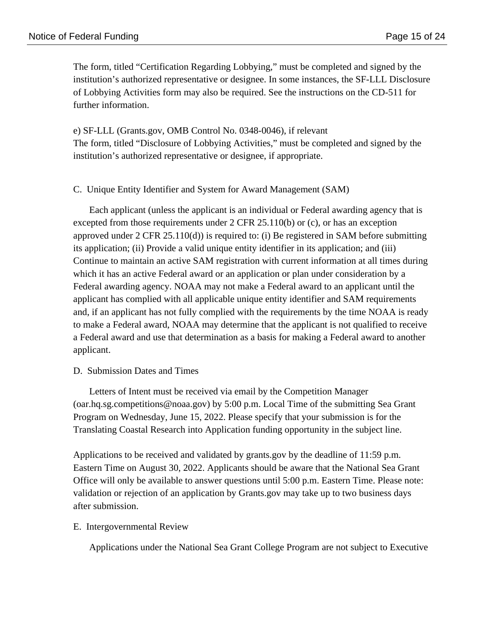The form, titled "Certification Regarding Lobbying," must be completed and signed by the institution's authorized representative or designee. In some instances, the SF-LLL Disclosure of Lobbying Activities form may also be required. See the instructions on the CD-511 for further information.

e) SF-LLL (Grants.gov, OMB Control No. 0348-0046), if relevant The form, titled "Disclosure of Lobbying Activities," must be completed and signed by the institution's authorized representative or designee, if appropriate.

#### C. Unique Entity Identifier and System for Award Management (SAM)

Each applicant (unless the applicant is an individual or Federal awarding agency that is excepted from those requirements under 2 CFR 25.110(b) or (c), or has an exception approved under 2 CFR 25.110(d)) is required to: (i) Be registered in SAM before submitting its application; (ii) Provide a valid unique entity identifier in its application; and (iii) Continue to maintain an active SAM registration with current information at all times during which it has an active Federal award or an application or plan under consideration by a Federal awarding agency. NOAA may not make a Federal award to an applicant until the applicant has complied with all applicable unique entity identifier and SAM requirements and, if an applicant has not fully complied with the requirements by the time NOAA is ready to make a Federal award, NOAA may determine that the applicant is not qualified to receive a Federal award and use that determination as a basis for making a Federal award to another applicant.

#### D. Submission Dates and Times

Letters of Intent must be received via email by the Competition Manager (oar.hq.sg.competitions@noaa.gov) by 5:00 p.m. Local Time of the submitting Sea Grant Program on Wednesday, June 15, 2022. Please specify that your submission is for the Translating Coastal Research into Application funding opportunity in the subject line.

Applications to be received and validated by grants.gov by the deadline of 11:59 p.m. Eastern Time on August 30, 2022. Applicants should be aware that the National Sea Grant Office will only be available to answer questions until 5:00 p.m. Eastern Time. Please note: validation or rejection of an application by Grants.gov may take up to two business days after submission.

#### E. Intergovernmental Review

Applications under the National Sea Grant College Program are not subject to Executive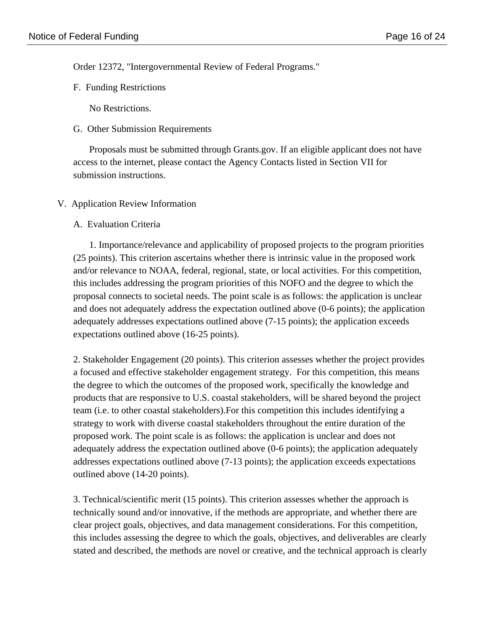Order 12372, "Intergovernmental Review of Federal Programs."

F. Funding Restrictions

No Restrictions.

G. Other Submission Requirements

Proposals must be submitted through Grants.gov. If an eligible applicant does not have access to the internet, please contact the Agency Contacts listed in Section VII for submission instructions.

V. Application Review Information

#### A. Evaluation Criteria

1. Importance/relevance and applicability of proposed projects to the program priorities (25 points). This criterion ascertains whether there is intrinsic value in the proposed work and/or relevance to NOAA, federal, regional, state, or local activities. For this competition, this includes addressing the program priorities of this NOFO and the degree to which the proposal connects to societal needs. The point scale is as follows: the application is unclear and does not adequately address the expectation outlined above (0-6 points); the application adequately addresses expectations outlined above (7-15 points); the application exceeds expectations outlined above (16-25 points).

2. Stakeholder Engagement (20 points). This criterion assesses whether the project provides a focused and effective stakeholder engagement strategy. For this competition, this means the degree to which the outcomes of the proposed work, specifically the knowledge and products that are responsive to U.S. coastal stakeholders, will be shared beyond the project team (i.e. to other coastal stakeholders).For this competition this includes identifying a strategy to work with diverse coastal stakeholders throughout the entire duration of the proposed work. The point scale is as follows: the application is unclear and does not adequately address the expectation outlined above (0-6 points); the application adequately addresses expectations outlined above (7-13 points); the application exceeds expectations outlined above (14-20 points).

3. Technical/scientific merit (15 points). This criterion assesses whether the approach is technically sound and/or innovative, if the methods are appropriate, and whether there are clear project goals, objectives, and data management considerations. For this competition, this includes assessing the degree to which the goals, objectives, and deliverables are clearly stated and described, the methods are novel or creative, and the technical approach is clearly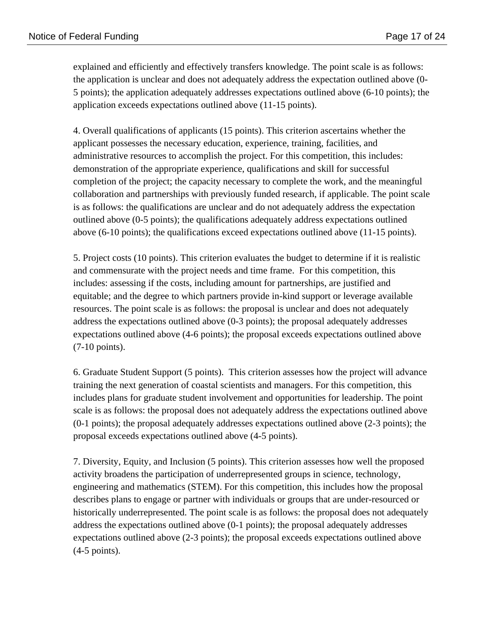explained and efficiently and effectively transfers knowledge. The point scale is as follows: the application is unclear and does not adequately address the expectation outlined above (0- 5 points); the application adequately addresses expectations outlined above (6-10 points); the application exceeds expectations outlined above (11-15 points).

4. Overall qualifications of applicants (15 points). This criterion ascertains whether the applicant possesses the necessary education, experience, training, facilities, and administrative resources to accomplish the project. For this competition, this includes: demonstration of the appropriate experience, qualifications and skill for successful completion of the project; the capacity necessary to complete the work, and the meaningful collaboration and partnerships with previously funded research, if applicable. The point scale is as follows: the qualifications are unclear and do not adequately address the expectation outlined above (0-5 points); the qualifications adequately address expectations outlined above (6-10 points); the qualifications exceed expectations outlined above (11-15 points).

5. Project costs (10 points). This criterion evaluates the budget to determine if it is realistic and commensurate with the project needs and time frame. For this competition, this includes: assessing if the costs, including amount for partnerships, are justified and equitable; and the degree to which partners provide in-kind support or leverage available resources. The point scale is as follows: the proposal is unclear and does not adequately address the expectations outlined above (0-3 points); the proposal adequately addresses expectations outlined above (4-6 points); the proposal exceeds expectations outlined above (7-10 points).

6. Graduate Student Support (5 points). This criterion assesses how the project will advance training the next generation of coastal scientists and managers. For this competition, this includes plans for graduate student involvement and opportunities for leadership. The point scale is as follows: the proposal does not adequately address the expectations outlined above (0-1 points); the proposal adequately addresses expectations outlined above (2-3 points); the proposal exceeds expectations outlined above (4-5 points).

7. Diversity, Equity, and Inclusion (5 points). This criterion assesses how well the proposed activity broadens the participation of underrepresented groups in science, technology, engineering and mathematics (STEM). For this competition, this includes how the proposal describes plans to engage or partner with individuals or groups that are under-resourced or historically underrepresented. The point scale is as follows: the proposal does not adequately address the expectations outlined above (0-1 points); the proposal adequately addresses expectations outlined above (2-3 points); the proposal exceeds expectations outlined above (4-5 points).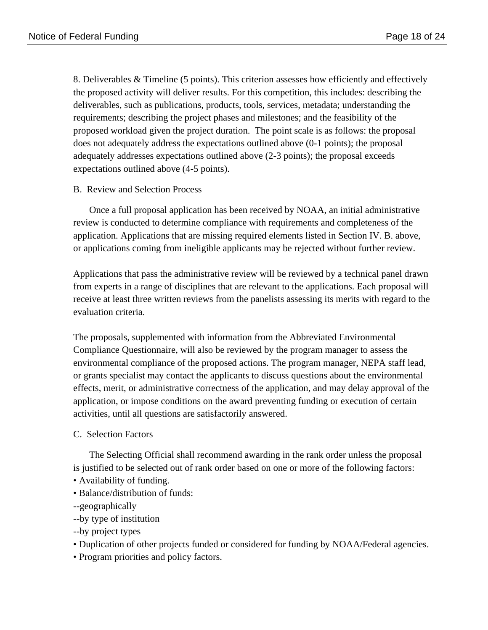8. Deliverables & Timeline (5 points). This criterion assesses how efficiently and effectively the proposed activity will deliver results. For this competition, this includes: describing the deliverables, such as publications, products, tools, services, metadata; understanding the requirements; describing the project phases and milestones; and the feasibility of the proposed workload given the project duration. The point scale is as follows: the proposal does not adequately address the expectations outlined above (0-1 points); the proposal adequately addresses expectations outlined above (2-3 points); the proposal exceeds expectations outlined above (4-5 points).

## B. Review and Selection Process

Once a full proposal application has been received by NOAA, an initial administrative review is conducted to determine compliance with requirements and completeness of the application. Applications that are missing required elements listed in Section IV. B. above, or applications coming from ineligible applicants may be rejected without further review.

Applications that pass the administrative review will be reviewed by a technical panel drawn from experts in a range of disciplines that are relevant to the applications. Each proposal will receive at least three written reviews from the panelists assessing its merits with regard to the evaluation criteria.

The proposals, supplemented with information from the Abbreviated Environmental Compliance Questionnaire, will also be reviewed by the program manager to assess the environmental compliance of the proposed actions. The program manager, NEPA staff lead, or grants specialist may contact the applicants to discuss questions about the environmental effects, merit, or administrative correctness of the application, and may delay approval of the application, or impose conditions on the award preventing funding or execution of certain activities, until all questions are satisfactorily answered.

## C. Selection Factors

The Selecting Official shall recommend awarding in the rank order unless the proposal is justified to be selected out of rank order based on one or more of the following factors:

- Availability of funding.
- Balance/distribution of funds:
- --geographically
- --by type of institution
- --by project types
- Duplication of other projects funded or considered for funding by NOAA/Federal agencies.
- Program priorities and policy factors.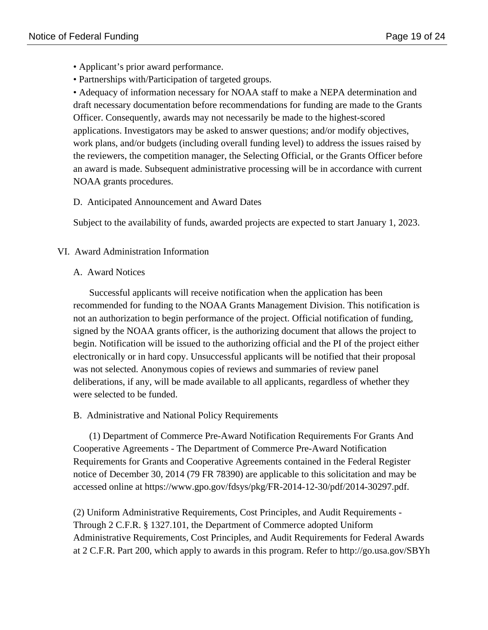- Applicant's prior award performance.
- Partnerships with/Participation of targeted groups.

• Adequacy of information necessary for NOAA staff to make a NEPA determination and draft necessary documentation before recommendations for funding are made to the Grants Officer. Consequently, awards may not necessarily be made to the highest-scored applications. Investigators may be asked to answer questions; and/or modify objectives, work plans, and/or budgets (including overall funding level) to address the issues raised by the reviewers, the competition manager, the Selecting Official, or the Grants Officer before an award is made. Subsequent administrative processing will be in accordance with current NOAA grants procedures.

## D. Anticipated Announcement and Award Dates

Subject to the availability of funds, awarded projects are expected to start January 1, 2023.

## VI. Award Administration Information

#### A. Award Notices

Successful applicants will receive notification when the application has been recommended for funding to the NOAA Grants Management Division. This notification is not an authorization to begin performance of the project. Official notification of funding, signed by the NOAA grants officer, is the authorizing document that allows the project to begin. Notification will be issued to the authorizing official and the PI of the project either electronically or in hard copy. Unsuccessful applicants will be notified that their proposal was not selected. Anonymous copies of reviews and summaries of review panel deliberations, if any, will be made available to all applicants, regardless of whether they were selected to be funded.

## B. Administrative and National Policy Requirements

(1) Department of Commerce Pre-Award Notification Requirements For Grants And Cooperative Agreements - The Department of Commerce Pre-Award Notification Requirements for Grants and Cooperative Agreements contained in the Federal Register notice of December 30, 2014 (79 FR 78390) are applicable to this solicitation and may be accessed online at https://www.gpo.gov/fdsys/pkg/FR-2014-12-30/pdf/2014-30297.pdf.

(2) Uniform Administrative Requirements, Cost Principles, and Audit Requirements - Through 2 C.F.R. § 1327.101, the Department of Commerce adopted Uniform Administrative Requirements, Cost Principles, and Audit Requirements for Federal Awards at 2 C.F.R. Part 200, which apply to awards in this program. Refer to http://go.usa.gov/SBYh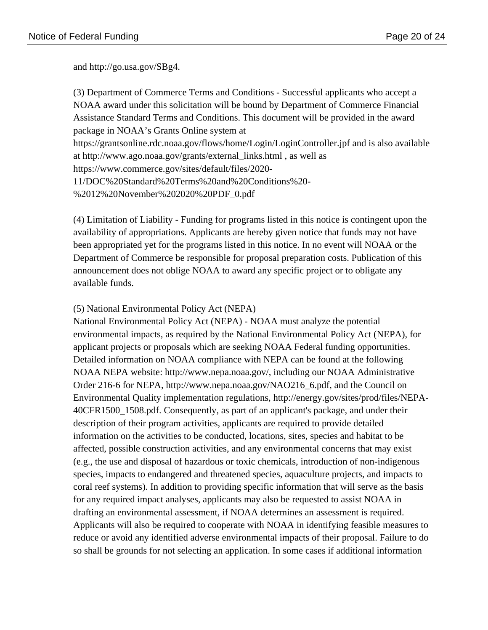and http://go.usa.gov/SBg4.

(3) Department of Commerce Terms and Conditions - Successful applicants who accept a NOAA award under this solicitation will be bound by Department of Commerce Financial Assistance Standard Terms and Conditions. This document will be provided in the award package in NOAA's Grants Online system at https://grantsonline.rdc.noaa.gov/flows/home/Login/LoginController.jpf and is also available at http://www.ago.noaa.gov/grants/external\_links.html , as well as https://www.commerce.gov/sites/default/files/2020- 11/DOC%20Standard%20Terms%20and%20Conditions%20- %2012%20November%202020%20PDF\_0.pdf

(4) Limitation of Liability - Funding for programs listed in this notice is contingent upon the availability of appropriations. Applicants are hereby given notice that funds may not have been appropriated yet for the programs listed in this notice. In no event will NOAA or the Department of Commerce be responsible for proposal preparation costs. Publication of this announcement does not oblige NOAA to award any specific project or to obligate any available funds.

## (5) National Environmental Policy Act (NEPA)

National Environmental Policy Act (NEPA) - NOAA must analyze the potential environmental impacts, as required by the National Environmental Policy Act (NEPA), for applicant projects or proposals which are seeking NOAA Federal funding opportunities. Detailed information on NOAA compliance with NEPA can be found at the following NOAA NEPA website: http://www.nepa.noaa.gov/, including our NOAA Administrative Order 216-6 for NEPA, http://www.nepa.noaa.gov/NAO216\_6.pdf, and the Council on Environmental Quality implementation regulations, http://energy.gov/sites/prod/files/NEPA-40CFR1500\_1508.pdf. Consequently, as part of an applicant's package, and under their description of their program activities, applicants are required to provide detailed information on the activities to be conducted, locations, sites, species and habitat to be affected, possible construction activities, and any environmental concerns that may exist (e.g., the use and disposal of hazardous or toxic chemicals, introduction of non-indigenous species, impacts to endangered and threatened species, aquaculture projects, and impacts to coral reef systems). In addition to providing specific information that will serve as the basis for any required impact analyses, applicants may also be requested to assist NOAA in drafting an environmental assessment, if NOAA determines an assessment is required. Applicants will also be required to cooperate with NOAA in identifying feasible measures to reduce or avoid any identified adverse environmental impacts of their proposal. Failure to do so shall be grounds for not selecting an application. In some cases if additional information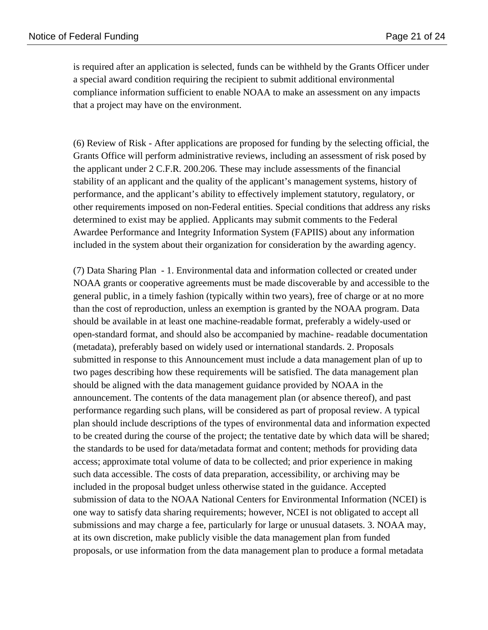is required after an application is selected, funds can be withheld by the Grants Officer under a special award condition requiring the recipient to submit additional environmental compliance information sufficient to enable NOAA to make an assessment on any impacts that a project may have on the environment.

(6) Review of Risk - After applications are proposed for funding by the selecting official, the Grants Office will perform administrative reviews, including an assessment of risk posed by the applicant under 2 C.F.R. 200.206. These may include assessments of the financial stability of an applicant and the quality of the applicant's management systems, history of performance, and the applicant's ability to effectively implement statutory, regulatory, or other requirements imposed on non-Federal entities. Special conditions that address any risks determined to exist may be applied. Applicants may submit comments to the Federal Awardee Performance and Integrity Information System (FAPIIS) about any information included in the system about their organization for consideration by the awarding agency.

(7) Data Sharing Plan - 1. Environmental data and information collected or created under NOAA grants or cooperative agreements must be made discoverable by and accessible to the general public, in a timely fashion (typically within two years), free of charge or at no more than the cost of reproduction, unless an exemption is granted by the NOAA program. Data should be available in at least one machine-readable format, preferably a widely-used or open-standard format, and should also be accompanied by machine- readable documentation (metadata), preferably based on widely used or international standards. 2. Proposals submitted in response to this Announcement must include a data management plan of up to two pages describing how these requirements will be satisfied. The data management plan should be aligned with the data management guidance provided by NOAA in the announcement. The contents of the data management plan (or absence thereof), and past performance regarding such plans, will be considered as part of proposal review. A typical plan should include descriptions of the types of environmental data and information expected to be created during the course of the project; the tentative date by which data will be shared; the standards to be used for data/metadata format and content; methods for providing data access; approximate total volume of data to be collected; and prior experience in making such data accessible. The costs of data preparation, accessibility, or archiving may be included in the proposal budget unless otherwise stated in the guidance. Accepted submission of data to the NOAA National Centers for Environmental Information (NCEI) is one way to satisfy data sharing requirements; however, NCEI is not obligated to accept all submissions and may charge a fee, particularly for large or unusual datasets. 3. NOAA may, at its own discretion, make publicly visible the data management plan from funded proposals, or use information from the data management plan to produce a formal metadata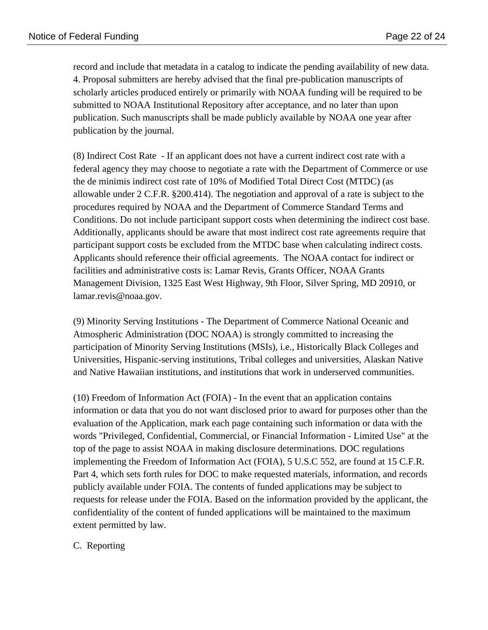record and include that metadata in a catalog to indicate the pending availability of new data. 4. Proposal submitters are hereby advised that the final pre-publication manuscripts of scholarly articles produced entirely or primarily with NOAA funding will be required to be submitted to NOAA Institutional Repository after acceptance, and no later than upon publication. Such manuscripts shall be made publicly available by NOAA one year after publication by the journal.

(8) Indirect Cost Rate - If an applicant does not have a current indirect cost rate with a federal agency they may choose to negotiate a rate with the Department of Commerce or use the de minimis indirect cost rate of 10% of Modified Total Direct Cost (MTDC) (as allowable under 2 C.F.R. §200.414). The negotiation and approval of a rate is subject to the procedures required by NOAA and the Department of Commerce Standard Terms and Conditions. Do not include participant support costs when determining the indirect cost base. Additionally, applicants should be aware that most indirect cost rate agreements require that participant support costs be excluded from the MTDC base when calculating indirect costs. Applicants should reference their official agreements. The NOAA contact for indirect or facilities and administrative costs is: Lamar Revis, Grants Officer, NOAA Grants Management Division, 1325 East West Highway, 9th Floor, Silver Spring, MD 20910, or lamar.revis@noaa.gov.

(9) Minority Serving Institutions - The Department of Commerce National Oceanic and Atmospheric Administration (DOC NOAA) is strongly committed to increasing the participation of Minority Serving Institutions (MSIs), i.e., Historically Black Colleges and Universities, Hispanic-serving institutions, Tribal colleges and universities, Alaskan Native and Native Hawaiian institutions, and institutions that work in underserved communities.

(10) Freedom of Information Act (FOIA) - In the event that an application contains information or data that you do not want disclosed prior to award for purposes other than the evaluation of the Application, mark each page containing such information or data with the words "Privileged, Confidential, Commercial, or Financial Information - Limited Use" at the top of the page to assist NOAA in making disclosure determinations. DOC regulations implementing the Freedom of Information Act (FOIA), 5 U.S.C 552, are found at 15 C.F.R. Part 4, which sets forth rules for DOC to make requested materials, information, and records publicly available under FOIA. The contents of funded applications may be subject to requests for release under the FOIA. Based on the information provided by the applicant, the confidentiality of the content of funded applications will be maintained to the maximum extent permitted by law.

## C. Reporting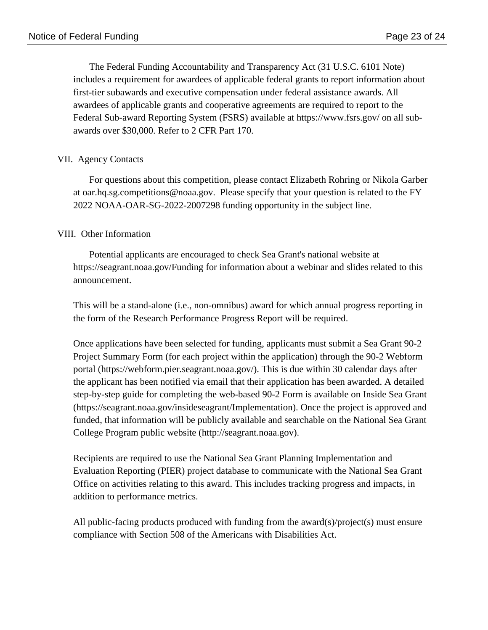The Federal Funding Accountability and Transparency Act (31 U.S.C. 6101 Note) includes a requirement for awardees of applicable federal grants to report information about first-tier subawards and executive compensation under federal assistance awards. All awardees of applicable grants and cooperative agreements are required to report to the Federal Sub-award Reporting System (FSRS) available at https://www.fsrs.gov/ on all subawards over \$30,000. Refer to 2 CFR Part 170.

## VII. Agency Contacts

For questions about this competition, please contact Elizabeth Rohring or Nikola Garber at oar.hq.sg.competitions@noaa.gov. Please specify that your question is related to the FY 2022 NOAA-OAR-SG-2022-2007298 funding opportunity in the subject line.

## VIII. Other Information

Potential applicants are encouraged to check Sea Grant's national website at https://seagrant.noaa.gov/Funding for information about a webinar and slides related to this announcement.

This will be a stand-alone (i.e., non-omnibus) award for which annual progress reporting in the form of the Research Performance Progress Report will be required.

Once applications have been selected for funding, applicants must submit a Sea Grant 90-2 Project Summary Form (for each project within the application) through the 90-2 Webform portal (https://webform.pier.seagrant.noaa.gov/). This is due within 30 calendar days after the applicant has been notified via email that their application has been awarded. A detailed step-by-step guide for completing the web-based 90-2 Form is available on Inside Sea Grant (https://seagrant.noaa.gov/insideseagrant/Implementation). Once the project is approved and funded, that information will be publicly available and searchable on the National Sea Grant College Program public website (http://seagrant.noaa.gov).

Recipients are required to use the National Sea Grant Planning Implementation and Evaluation Reporting (PIER) project database to communicate with the National Sea Grant Office on activities relating to this award. This includes tracking progress and impacts, in addition to performance metrics.

All public-facing products produced with funding from the award(s)/project(s) must ensure compliance with Section 508 of the Americans with Disabilities Act.